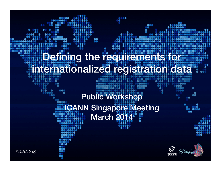### Defining the requirements fo internationalized registration data

8

### Public Workshop ICANN Singapore Meeting March 2014



68

#ICANN49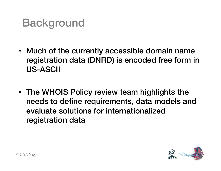## **Background**

- Much of the currently accessible domain name registration data (DNRD) is encoded free form in US-ASCII
- The WHOIS Policy review team highlights the needs to define requirements, data models and evaluate solutions for internationalized registration data

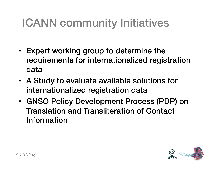# ICANN community Initiatives

- Expert working group to determine the requirements for internationalized registration data
- A Study to evaluate available solutions for internationalized registration data
- GNSO Policy Development Process (PDP) on Translation and Transliteration of Contact Information

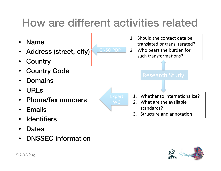## How are different activities related



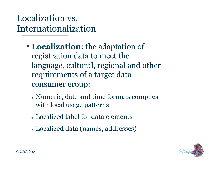#### Localization vs. Internationalization

- registration data to meet the • **Localization**: the adaptation of language, cultural, regional and other requirements of a target data consumer group:
	- <sup>o</sup> Numeric, date and time formats complies with local usage patterns
	- <sup>o</sup> Localized label for data elements
	- <sup>o</sup> Localized data (names, addresses)

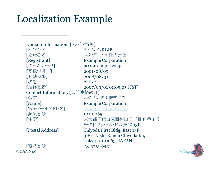## Localization Example

[ドメイン名]<br>「登録者名] #ICANN49 Domain Information: [ドメイン情報] ドメイン名例.JP エグザンプル株式会社 [Registrant] Example Corporation [ネームサーバ] ns01.example.co.jp [登録年月日] 2001/08/09 [有効期限] 2008/08/31 [状態] Active [最終更新] 2007/09/01 01:05:05 (JST) Contact Information: [公開連絡窓口] [名前] アンプリンプル株式会社 [Name] Example Corporation [電子メールアドレス] admin@example.co.jp [郵便番号] 101-0065 [住所] インファンの 東京都千代田区西神田三丁目 8 番 1 号 千代田ファーストビル東館 13F [Postal Address] Chiyoda First Bldg. East 13F, 3-8-1 Nishi-Kanda Chiyoda-ku, Tokyo 101-0065, JAPAN [電話番号] 03-5215-8451

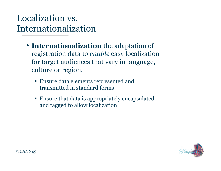#### Localization vs. Internationalization

- registration data to *enable* easy localization • **Internationalization** the adaptation of for target audiences that vary in language, culture or region.
	- Ensure data elements represented and transmitted in standard forms
	- Ensure that data is appropriately encapsulated and tagged to allow localization